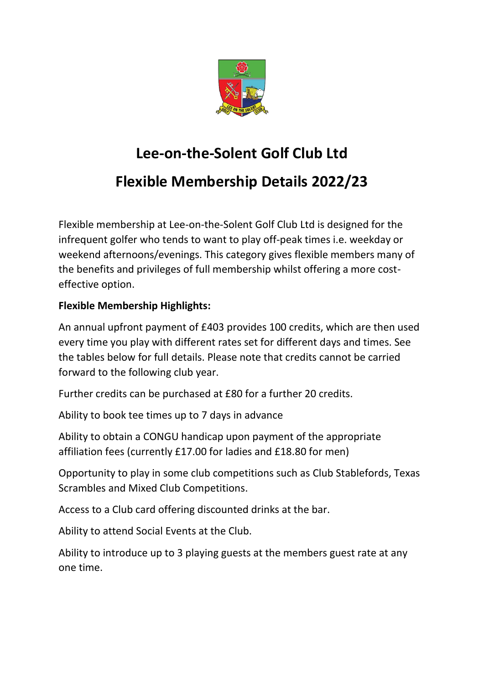

## **Lee-on-the-Solent Golf Club Ltd Flexible Membership Details 2022/23**

Flexible membership at Lee-on-the-Solent Golf Club Ltd is designed for the infrequent golfer who tends to want to play off-peak times i.e. weekday or weekend afternoons/evenings. This category gives flexible members many of the benefits and privileges of full membership whilst offering a more costeffective option.

## **Flexible Membership Highlights:**

An annual upfront payment of £403 provides 100 credits, which are then used every time you play with different rates set for different days and times. See the tables below for full details. Please note that credits cannot be carried forward to the following club year.

Further credits can be purchased at £80 for a further 20 credits.

Ability to book tee times up to 7 days in advance

Ability to obtain a CONGU handicap upon payment of the appropriate affiliation fees (currently £17.00 for ladies and £18.80 for men)

Opportunity to play in some club competitions such as Club Stablefords, Texas Scrambles and Mixed Club Competitions.

Access to a Club card offering discounted drinks at the bar.

Ability to attend Social Events at the Club.

Ability to introduce up to 3 playing guests at the members guest rate at any one time.